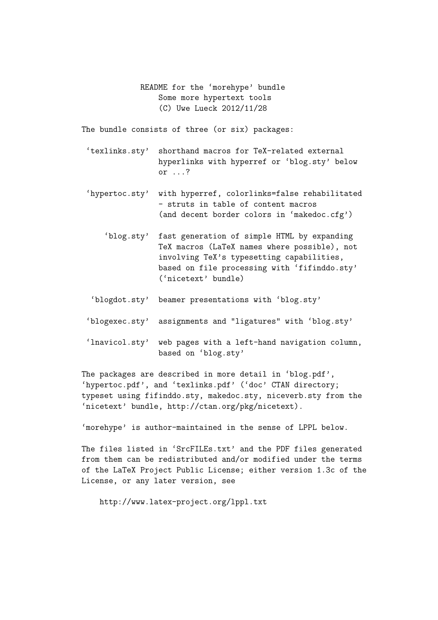README for the 'morehype' bundle Some more hypertext tools (C) Uwe Lueck 2012/11/28

The bundle consists of three (or six) packages:

- 'texlinks.sty' shorthand macros for TeX-related external hyperlinks with hyperref or 'blog.sty' below or ...?
- 'hypertoc.sty' with hyperref, colorlinks=false rehabilitated - struts in table of content macros (and decent border colors in 'makedoc.cfg')
	- 'blog.sty' fast generation of simple HTML by expanding TeX macros (LaTeX names where possible), not involving TeX's typesetting capabilities, based on file processing with 'fifinddo.sty' ('nicetext' bundle)
- 'blogdot.sty' beamer presentations with 'blog.sty'
- 'blogexec.sty' assignments and "ligatures" with 'blog.sty'
- 'lnavicol.sty' web pages with a left-hand navigation column, based on 'blog.sty'

The packages are described in more detail in 'blog.pdf', 'hypertoc.pdf', and 'texlinks.pdf' ('doc' CTAN directory; typeset using fifinddo.sty, makedoc.sty, niceverb.sty from the 'nicetext' bundle, http://ctan.org/pkg/nicetext).

'morehype' is author-maintained in the sense of LPPL below.

The files listed in 'SrcFILEs.txt' and the PDF files generated from them can be redistributed and/or modified under the terms of the LaTeX Project Public License; either version 1.3c of the License, or any later version, see

http://www.latex-project.org/lppl.txt